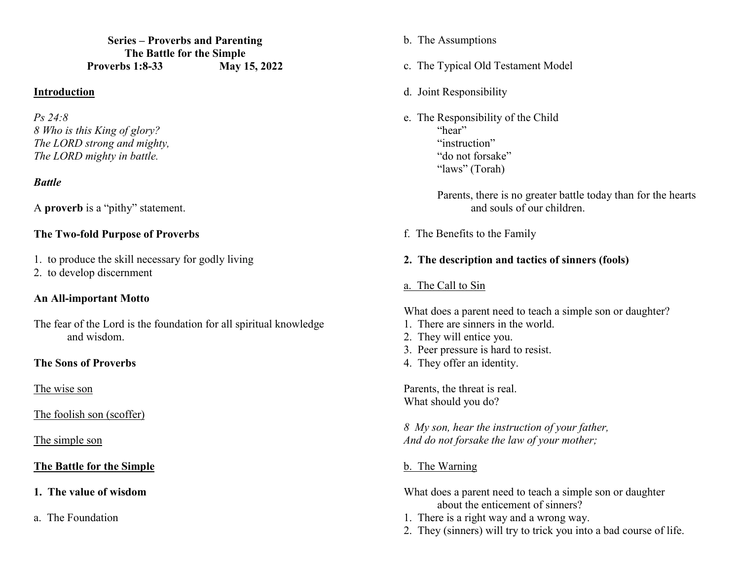**Series – Proverbs and Parenting The Battle for the Simple Proverbs 1:8-33 May 15, 2022** 

### **Introduction**

*Ps 24:8 8 Who is this King of glory? The LORD strong and mighty, The LORD mighty in battle.* 

### *Battle*

A **proverb** is a "pithy" statement.

### **The Two-fold Purpose of Proverbs**

- 1. to produce the skill necessary for godly living
- 2. to develop discernment

### **An All-important Motto**

The fear of the Lord is the foundation for all spiritual knowledge and wisdom.

### **The Sons of Proverbs**

The wise son

The foolish son (scoffer)

The simple son

# **The Battle for the Simple**

- **1. The value of wisdom**
- a. The Foundation
- b. The Assumptions
- c. The Typical Old Testament Model
- d. Joint Responsibility
- e. The Responsibility of the Child "hear" "instruction" "do not forsake" "laws" (Torah)

Parents, there is no greater battle today than for the hearts and souls of our children.

f. The Benefits to the Family

### **2. The description and tactics of sinners (fools)**

a. The Call to Sin

What does a parent need to teach a simple son or daughter?

- 1. There are sinners in the world.
- 2. They will entice you.
- 3. Peer pressure is hard to resist.
- 4. They offer an identity.

Parents, the threat is real. What should you do?

*8 My son, hear the instruction of your father, And do not forsake the law of your mother;* 

# b. The Warning

- What does a parent need to teach a simple son or daughter about the enticement of sinners?
- 1. There is a right way and a wrong way.
- 2. They (sinners) will try to trick you into a bad course of life.